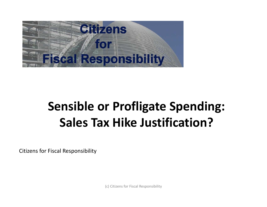

# **Sensible or Profligate Spending: Sales Tax Hike Justification?**

Citizens for Fiscal Responsibility

(c) Citizens for Fiscal Responsibility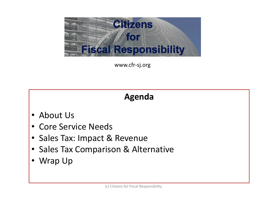

www.cfr-sj.org

### **Agenda**

- About Us
- Core Service Needs
- Sales Tax: Impact & Revenue
- Sales Tax Comparison & Alternative
- Wrap Up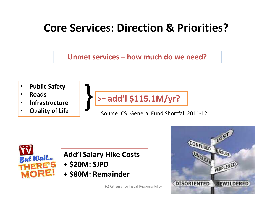# **Core Services: Direction & Priorities?**





- **Roads**
- **Infrastructure**
- **Quality of Life**



Source: CSJ General Fund Shortfall 2011-12



### **Add'l Salary Hike Costs**

- **+ \$20M: SJPD**
- **+ \$80M: Remainder**

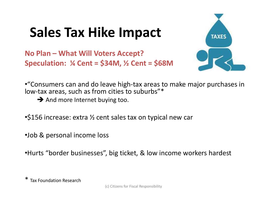# **Sales Tax Hike Impact**

**No Plan – What Will Voters Accept? Speculation: ¼ Cent = \$34M, ½ Cent = \$68M**



•"Consumers can and do leave high-tax areas to make major purchases in low-tax areas, such as from cities to suburbs"\*

 $\rightarrow$  And more Internet buying too.

•\$156 increase: extra ½ cent sales tax on typical new car

•Job & personal income loss

•Hurts "border businesses", big ticket, & low income workers hardest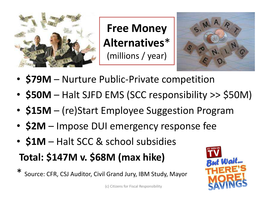

**Free Money Alternatives**\* (millions / year)



- **\$79M** Nurture Public-Private competition
- **\$50M** Halt SJFD EMS (SCC responsibility >> \$50M)
- **\$15M** (re)Start Employee Suggestion Program
- **\$2M** Impose DUI emergency response fee
- **\$1M** Halt SCC & school subsidies
- **Total: \$147M v. \$68M (max hike)**
- Source: CFR, CSJ Auditor, Civil Grand Jury, IBM Study, Mayor

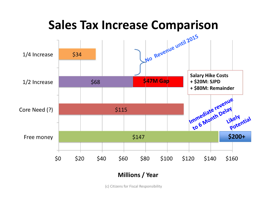

### **Millions / Year**

(c) Citizens for Fiscal Responsibility